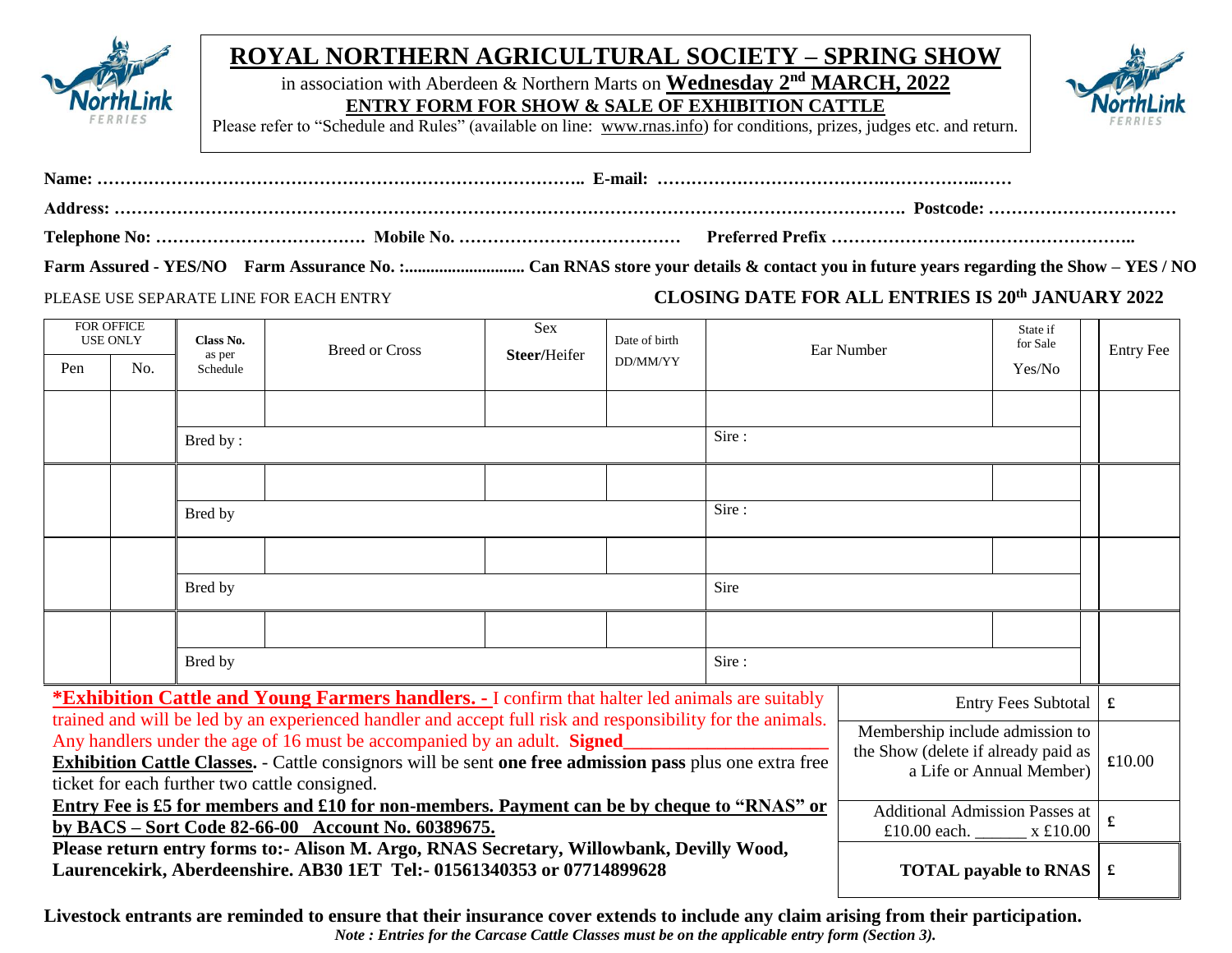

## **ROYAL NORTHERN AGRICULTURAL SOCIETY – SPRING SHOW**

in association with Aberdeen & Northern Marts on **Wednesday 2nd MARCH, 2022 ENTRY FORM FOR SHOW & SALE OF EXHIBITION CATTLE**



Please refer to "Schedule and Rules" (available on line: [www.rnas.info\)](http://www.rnas.info/) for conditions, prizes, judges etc. and return.

| Name:    |  |                                                                                                                        |
|----------|--|------------------------------------------------------------------------------------------------------------------------|
| Address: |  | <u> 1986 - Jan Barbart de Barbart de Barbart de Barbart de Barbart de Barbart de Barbart de Barbart de Barbart de </u> |
|          |  |                                                                                                                        |

**Farm Assured - YES/NO Farm Assurance No. :............................ Can RNAS store your details & contact you in future years regarding the Show – YES / NO**

## PLEASE USE SEPARATE LINE FOR EACH ENTRY **CLOSING DATE FOR ALL ENTRIES IS 20 th JANUARY 2022**

| FOR OFFICE<br><b>USE ONLY</b>                                                                                                                                                                                |                                                                                                                                                                                                                                                | Class No.          | <b>Breed or Cross</b> | Sex          | Date of birth | Ear Number |  | State if<br>for Sale | <b>Entry Fee</b> |
|--------------------------------------------------------------------------------------------------------------------------------------------------------------------------------------------------------------|------------------------------------------------------------------------------------------------------------------------------------------------------------------------------------------------------------------------------------------------|--------------------|-----------------------|--------------|---------------|------------|--|----------------------|------------------|
| Pen                                                                                                                                                                                                          | No.                                                                                                                                                                                                                                            | as per<br>Schedule |                       | Steer/Heifer | DD/MM/YY      |            |  | Yes/No               |                  |
|                                                                                                                                                                                                              |                                                                                                                                                                                                                                                |                    |                       |              |               |            |  |                      |                  |
|                                                                                                                                                                                                              |                                                                                                                                                                                                                                                | Bred by:           |                       |              | Sire:         |            |  |                      |                  |
|                                                                                                                                                                                                              |                                                                                                                                                                                                                                                |                    |                       |              |               |            |  |                      |                  |
|                                                                                                                                                                                                              |                                                                                                                                                                                                                                                | Bred by            |                       |              |               | Sire:      |  |                      |                  |
|                                                                                                                                                                                                              |                                                                                                                                                                                                                                                |                    |                       |              |               |            |  |                      |                  |
|                                                                                                                                                                                                              |                                                                                                                                                                                                                                                | Bred by            | Sire                  |              |               |            |  |                      |                  |
|                                                                                                                                                                                                              |                                                                                                                                                                                                                                                |                    |                       |              |               |            |  |                      |                  |
|                                                                                                                                                                                                              |                                                                                                                                                                                                                                                | Bred by            |                       |              |               |            |  |                      |                  |
| <b>*Exhibition Cattle and Young Farmers handlers.</b> - I confirm that halter led animals are suitably<br>Entry Fees Subtotal                                                                                |                                                                                                                                                                                                                                                |                    |                       |              |               |            |  |                      | £                |
|                                                                                                                                                                                                              | trained and will be led by an experienced handler and accept full risk and responsibility for the animals.<br>Membership include admission to<br>Any handlers under the age of 16 must be accompanied by an adult. Signed                      |                    |                       |              |               |            |  |                      |                  |
|                                                                                                                                                                                                              | the Show (delete if already paid as<br>Exhibition Cattle Classes. - Cattle consignors will be sent one free admission pass plus one extra free<br>a Life or Annual Member)<br>ticket for each further two cattle consigned.                    |                    |                       |              |               |            |  |                      |                  |
|                                                                                                                                                                                                              | Entry Fee is £5 for members and £10 for non-members. Payment can be by cheque to "RNAS" or<br><b>Additional Admission Passes at</b><br>by BACS - Sort Code 82-66-00 Account No. 60389675.<br>£10.00 each. $\frac{\text{m}}{\text{m}}$ x £10.00 |                    |                       |              |               |            |  |                      | £                |
| Please return entry forms to:- Alison M. Argo, RNAS Secretary, Willowbank, Devilly Wood,<br>Laurencekirk, Aberdeenshire. AB30 1ET Tel:- 01561340353 or 07714899628<br><b>TOTAL</b> payable to RNAS $\vert$ £ |                                                                                                                                                                                                                                                |                    |                       |              |               |            |  |                      |                  |

**Livestock entrants are reminded to ensure that their insurance cover extends to include any claim arising from their participation.** *Note : Entries for the Carcase Cattle Classes must be on the applicable entry form (Section 3).*